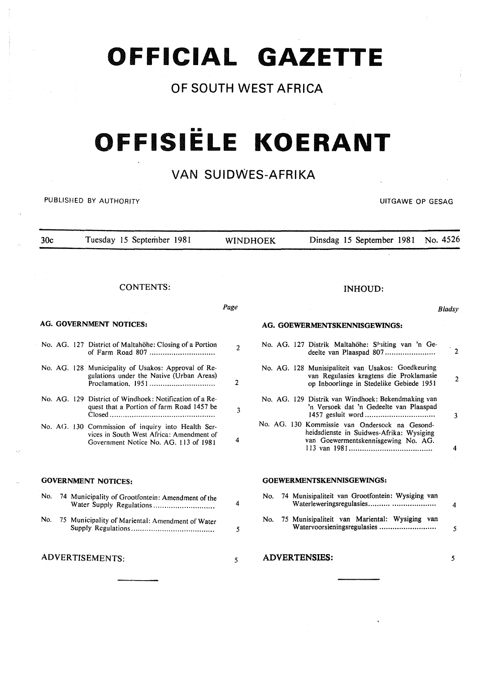## **OFFICIAL GAZETTE**

## **OF SOUTH WEST AFRICA**

# •• **OFFISIELE KOERANT**

### **VAN SUIDWES-AFRIKA**

PUBLISHED BY AUTHORITY **EXECUTE ASSESSED BY AUTHORITY UITGAWE OP GESAG** 

ADVERTISEMENTS:

5

30c Tuesday 15 September 1981 CONTENTS: AG. GOVERNMENT NOTICES: No. AG. 127 District of Maltahöhe: Closing of a Portion of Farm Road 807 ............................. . No. AG. 128 Municipality of Usakos: Approval of Regulations under the Native (Urban Areas) Proclamation. 1951 ............................. . No. AG. 129 District of Windhoek: Notification of a Request that a Portion of farm Road 1457 be Closed ............................................... . No. AG. 130 Commission of inquiry into Health Services in South West Africa: Amendment of Government Notice No. AG. 113 of 1981 GOVERNMENT NOTICES: No. 74 Municipality of Grootfontein: Amendment of the Water Supply Regulations .......................... .. No. 75 Municipality of Mariental: Amendment of Water Supply Regulations ..................................... . WINDHOEK Dinsdag 15 September 1981 No. 4526 *Page*   $\overline{2}$  $\overline{2}$ 3 4 4 5 INHOUD: AG. GOEWERMENTSKENNISGEWINGS: No. AG. 127 Distrik Maltahöhe: Shiting van 'n Gedeelte van Plaaspad 807 ........................ No. AG. 128 Munisipaliteit van Usakos: Goedkeuring van Regulasies kragtens die Proklamasie op Inboorlinge in Stedelike Gebiede 1951 No. AG. 129 Distrik van Windhoek: Bekendmaking van 'n Versoek dat 'n Gedeelte van Plaaspad 1457 gesluit word .............................. .. No. AG. 130 Kommissie van Ondersock na Gesondheidsdienste in Suidwes-Afrika: Wysiging van Goewcrmentskennisgewing No. AG. 113 van 1981 .................................... .. GOEWERMENTSKENNISGEWINGS: No. 74 Munisipaliteit van Grootfontein: Wysiging van Waterleweringsregulasies ............................. . No. 75 Munisipaliteit van Mariental: Wysiging van W atervoorsieningsregulasies ......................... . Bladsy .2 2 3 4 4 5

*5* 

ADVERTENSIES: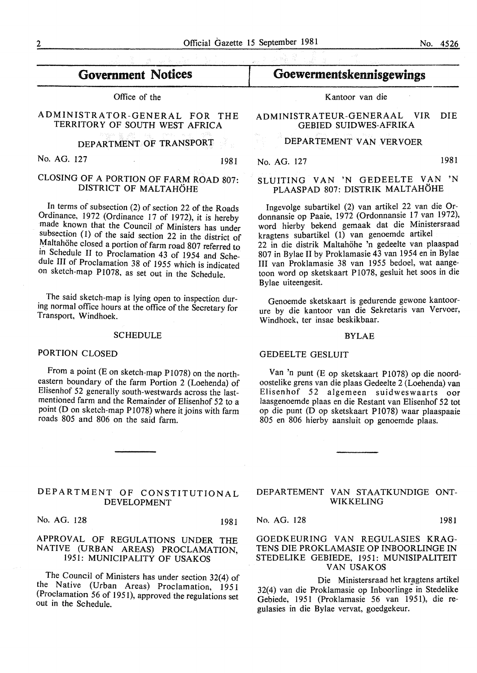## Government Notices

Office of the

#### ADMINISTRATOR-GENERAL FOR THE TERRITORY OF SOUTH WEST AFRICA

DEPARTMENT OF TRANSPORT

No. AG. 127 1981

#### CLOSING OF A PORTION OF FARM ROAD 807: DISTRICT OF MALTAHÖHE

In terms of subsection (2) of section 22 of the Roads Ordinance, 1972 (Ordinance 17 of 1972), it is hereby made known that the Council of Ministers has under subsection (1) of the said section 22 in the district of Maltahöhe closed a portion of farm road 807 referred to in Schedule II to Proclamation 43 of 1954 and Schedule III of Proclamation 38 of 1955 which is indicated on sketch-map P1078, as set out in the Schedule.

The said sketch-map is lying open to inspection during normal office hours at the office of the Secretary for Transport, Windhoek.

#### **SCHEDULE**

#### PORTION CLOSED

From a point (E on sketch-map P1078) on the northeastern boundary of the farm Portion 2 (Loehenda) of Elisenhof 52 generally south-westwards across the lastmentioned farm and the Remainder of Elisenhof 52 to a point (D on sketch-map P1078) where it joins with farm roads 805 and 806 on the said farm.

Kantoor van die

Goewermentskennisgewings

#### ADMINISTRATEUR-GENERAAL VIR DIE GEBIED SUIDWES-AFRIKA

#### DEPARTEMENT VAN VERVOER

No. AG. 127 1981

#### SLUITING VAN 'N GEDEELTE VAN 'N PLAASPAD 807: DISTRIK MALTAHOHE

Ingevolge subartikel (2) van artikel 22 van die Ordonnansie op Paaie, 1972 (Ordonnansie 17 van 1972), word hierby bekend gemaak dat die Ministersraad kragtens subartikel (1) van genoemde artikel 22 in die distrik Maltahohe 'n gedeelte van plaaspad 807 in Bylae II by Proklamasie 43 van 1954 en in Bylae III van Proklamasie 38 van 1955 bedoel, wat aangetoon word op sketskaart P 1078, gesluit het soos in die Bylae uiteengesit.

Genoemde sketskaart is gedurende gewone kantoorure by die kantoor van die Sekretaris van Vervoer, Windhoek, ter insae beskikbaar.

#### BYLAE

#### GEDEELTE GESLUIT

Van 'n punt (E op sketskaart P1078) op die noordoostelike grens van die plaas Gedeelte 2 (Loehenda) van Elisenhof 52 algemeen suidweswaarts oor laasgenoemde plaas en die Restant van Elisenhof 52 tot op die punt (D op sketskaart P1078) waar plaaspaaie 805 en 806 hierby aansluit op genoemde plaas.

#### DEPARTMENT OF CONSTITUTIONAL DEVELOPMENT

No. AG. 128 1981

#### APPROVAL OF REGULATIONS UNDER THE NATIVE (URBAN AREAS) PROCLAMATION, 1951: MUNICIPALITY OF USAKOS

The Council of Ministers has under section 32(4) of the Native (Urban Areas) Proclamation, 1951 (Proclamation 56 of 1951), approved the regulations set out in the Schedule.

#### DEPARTEMENT VAN STAATKUNDIGE ONT-WIKKELING

No. AG. 128 1981

GOEDKEURING VAN REGULASIES KRAG-TENS DIE PROKLAMASIE OP INBOORLINGE IN STEDELIKE GEBIEDE, 1951: MUNISIPALITEIT VAN USAKOS

Die Ministersraad het kragtens artikel 32(4) van die Proklamasie op Inboorlinge in Stedelike Gebiede, 1951 (Proklamasie 56 van 1951), die regulasies in die Bylae vervat, goedgekeur.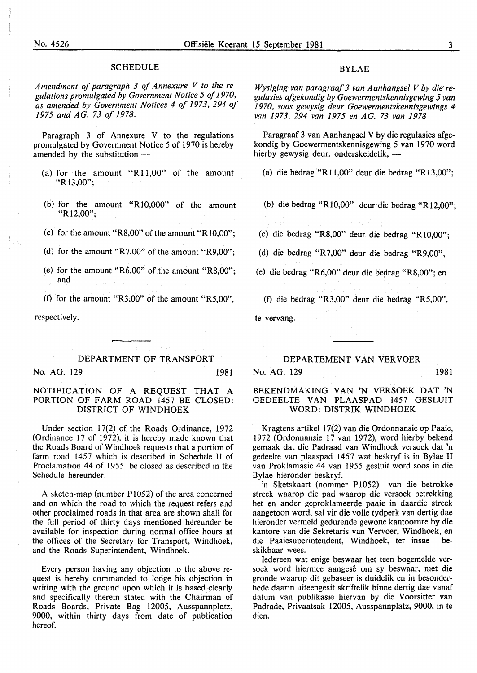#### SCHEDULE

*Amendment of paragraph 3 of Annexure V to the regulations promulgated by Government Notice 5 of 1970, as amended by Government Notices 4 of 1973, 294 of 1975 and AG. 73 of 1978.* 

Paragraph 3 of Annexure V to the regulations promulgated by Government Notice 5 of 1970 is hereby amended by the substitution  $-$ 

- (a) for the amount "R 11,00" of the amount "Rl3,00";
- (b) for the amount " $R10,000$ " of the amount  $"R12,00"$
- (c) for the amount "R8,00" of the amount "R10,00";
- (d) for the amount "R7,00" of the amount "R9,00";
- (e) for the amount "R6,00" of the amount "R8,00"; and

(f) for the amount "R3,00" of the amount "R5,00",

respectively.

DEPARTMENT OF TRANSPORT No. AG. 129 1981

#### NOTIFICATION OF A REQUEST THAT A PORTION OF FARM ROAD 1457 BE CLOSED: DISTRICT OF WINDHOEK

Under section 17(2) of the Roads Ordinance, 1972 (Ordinance 17 of 1972), it is hereby made known that the Roads Board of Windhoek requests that a portion of farm road 1457 which is described in Schedule II of Proclamation 44 of 1955 be closed as described in the Schedule hereunder.

A sketch-map (number Pl052) of the area concerned and on which the road to which the request refers and other proclaimed roads in that area are shown shall for the full period of thirty days mentioned hereunder be available for inspection during normal office hours at the offices of the Secretary for Transport, Windhoek, and the Roads Superintendent, Windhoek.

Every person having any objection to the above request is hereby commanded to lodge his objection in writing with the ground upon which it is based clearly and specifically therein stated with the Chairman of Roads Boards, Private Bag 12005, Ausspannplatz, 9000, within thirty days from date of publication hereof.

#### BYLAE

*Wysiging van paragraaf 3 van Aanhangsel V by die regulasies afgekondig by Goewermentskennisgewing 5 van 1970, soos gewysig deur Goewermentskennisgewings 4 van 1973, 294 van 1975 en AG. 73 van 1978* 

Paragraaf 3 van Aanhangsel V by die regulasies afgekondig by Goewermentskennisgewing 5 van 1970 word hierby gewysig deur, onderskeidelik,-

(a) die bedrag "Rll,OO" deur die bedrag "R13,00";

(b) die bedrag "RlO,OO" deur die bedrag "R12,00";

(c) die bedrag "R8,00" deur die bedrag "RlO,OO";

(d) die bedrag "R7,00" deur die bedrag "R9,00";

(e) die bedrag "R6,00" deur die bedrag "R8,00"; en

(0 die bedrag "R3,00" deur die bedrag "R5,00", te vervang.

DEPARTEMENT VAN VERVOER

No. AG. 129 1981

#### BEKENDMAKING VAN 'N VERSOEK OAT 'N GEDEELTE VAN PLAASPAD 1457 GESLUIT

WORD: DISTRIK WINDHOEK Kragtens artikel 17(2) van die Ordonnansie op Paaie, 1972 (Ordonnansie 17 van 1972), word hierby bekend gemaak dat die Padraad van Windhoek versoek dat 'n gedeelte van plaaspad 1457 wat beskryf is in Bylae II

van Proklamasie 44 van 1955 gesluit word soos in die

Bylae hieronder beskryf. 'n Sketskaart (nommer P1052) van die betrokke streek waarop die pad waarop die versoek betrekking het en ander geproklameerde paaie in daardie streek aangetoon word, sal vir die voile tydperk van dertig dae hieronder vermeld gedurende gewone kantoorure by die kantore van die Sekretaris van Vervoer, Windhoek, en die Paaiesuperintendent, Windhoek, ter insae beskikbaar wees.

Iedereen wat enige beswaar het teen bogemelde versoek word hiermee aangese om sy beswaar, met die gronde waarop dit gebaseer is duidelik en in besonderhede daarin uiteengesit skriftelik binne dertig dae vanaf datum van publikasie hiervan by die Voorsitter van Padrade, Privaatsak 12005, Ausspannplatz, 9000, in te dien.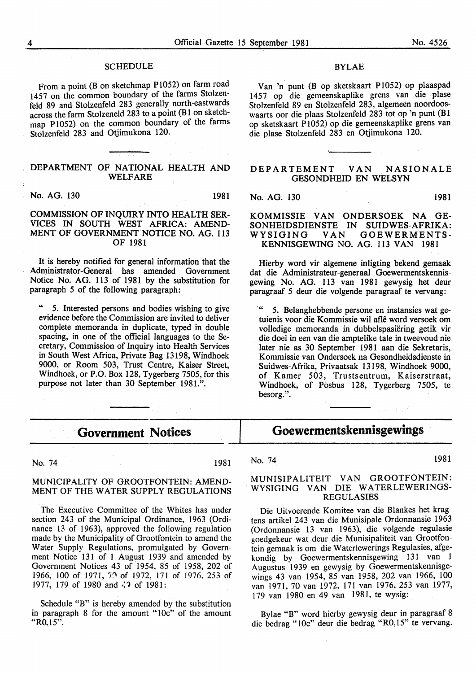#### **SCHEDULE**

From a point (B on sketchmap P1052) on farm road 1457 on the common boundary of the farms Stolzenfeld 89 and Stolzenfeld 283 generally north-eastwards across the farm Stolzeneld 283 to a point (B 1 on sketchmap P1052) on the common boundary of the farms Stolzenfeld 283 and Otjimukona 120.

#### DEPARTMENT OF NATIONAL HEALTH AND WELFARE

No. AG. 130 1981

 $\ddot{\phantom{a}}$ 

#### COMMISSION OF INQUIRY INTO HEALTH SER-VICES IN SOUTH WEST AFRICA: AMEND-MENT OF GOVERNMENT NOTICE NO. AG. 113 OF 1981

It is hereby notified for general information that the Administrator-General has amended Government Notice No. AG. 113 of 1981 by the substitution for paragraph 5 of the following paragraph:

" 5. Interested persons and bodies wishing to give evidence before the Commission are invited to deliver complete memoranda in duplicate, typed in double spacing, in one of the official languages to the Secretary, Commission of Inquiry into Health Services in South West Africa, Private Bag 13198, Windhoek 9000, or Room 503, Trust Centre, Kaiser Street, Windhoek, or P.O. Box 128, Tygerberg 7505, for this purpose not later than 30 September 1981.".

#### BYLAE

Van 'n punt (B op sketskaart P1052) op plaaspad 1457 op die gemeenskaplike grens van die plase Stolzenfeld 89 en Stolzenfeld 283, algemeen noordooswaarts oor die plaas Stolzenfeld 283 tot op 'n punt (B1 op sketskaart P 1052) op die gemeenskaplike grens van die plase Stolzenfeld 283 en Otjimukona 120.

#### DEPARTEMENT VAN NASIONALE GESONDHEID EN WELSYN

No. AG. 130 1981

KOMMISSIE VAN ONDERSOEK NA GE-SONHEIDSDIENSTE IN SUIDWES-AFRIKA:<br>WYSIGING VAN GOEWERMENTS-GOEWERMENTS-

Hierby word vir algemene inligting bekend gemaak dat die Administrateur-generaal Goewermentskennisgewing No. AG. 113 van 1981 gewysig bet deur paragraaf *5* deur die volgende paragraaf te vervang:

KENNISGEWING NO. AG. 113 VAN 1981

... *5.* Belanghebbende persone en instansies wat getuienis voor die Kommissie wil afle word versoek om volledige memoranda in dubbelspasiering getik vir . die doei in een van die amptelike tale in tweevoud nie later nie as 30 September 1981 aan die Sekretaris, Kommissie van Ondersoek na Gesondheidsdienste in Suidwes-Afrika, Privaatsak 13198, Windhoek 9000, of Kamer 503, Trustsentrum, Kaiserstraat, Windhoek, of Posbus 128, Tygerberg 7505, te besorg.".

#### **Government Notices**

No. 74 1981

#### MUNICIPALITY OF GROOTFONTEIN: AMEND-MENT OF THE WATER SUPPLY REGULATIONS

The Executive Committee of the Whites has under section 243 of the Municipal Ordinance, 1963 (Ordinance 13 of 1963), approved the following regulation made by the Municipality of Grootfontein to amend the Water Supply Regulations, promulgated by Government Notice 131 of 1 August 1939 and amended by Government Notices 43 of 1954, 85 of 1958, 202 of 1966, 100 of 1971, 70 of 1972, 171 of 1976, 253 of 1977, 179 of 1980 and  $\langle$ ? of 1981:

Schedule "B" is hereby amended by the substitution in paragraph 8 for the amount "lOc" of the amount "R0,15".

## Goewermentskennisgewings

No. 74 1981

#### MUNISIPALITEIT VAN GROOTFONTEIN: WYSIGING VAN DIE WATERLEWERINGS-REGULASIES

Die Uitvoerende Komitee van die Blankes bet kragtens artikel 243 van die Munisipale Ordonnansie 1963 (Ordonnansie 13 van 1963), die volgende regulasie goedgekeur wat deur die Munisipaliteit van Grootfontein gemaak is om die W aterlewerings Regulasies, afgekondig by Goewermentskennisgewing 131 van 1 Augustus 1939 en gewysig by Goewermentskennisgewings 43 van 1954, 85 van 1958, 202 van 1966, 100 van 1971, 70 van 1972, 171 van 1976, 253 van 1977, 179 van 1980 en 49 van 1981, te wysig:

Bylae "B" word hierby gewysig deur in paragraaf 8 die bedrag "lOc" deur die bedrag "R0,15" te vervang.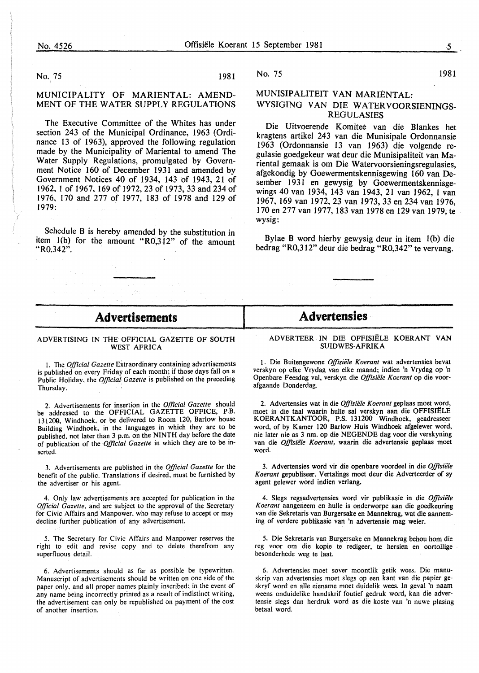No. 75 1981 <sup>I</sup>

#### MUNICIPALITY OF MARIENTAL: AMEND-MENT OF THE WATER SUPPLY REGULATIONS

The Executive Committee of the Whites has under section 243 of the Municipal Ordinance, 1963 (Ordinance 13 of 1963), approved the following regulation made by the Municipality of Mariental to amend The Water Supply Regulations, promulgated by Government Notice 160 of December 1931 and amended by Government Notices 40 of 1934, 143 of 1943, 21 of 1962, I of 1967, 169 of 1972, 23 of 1973, 33 and 234 of 1976, 170 and 277 of 1977, 183 of 1978 and 129 of 1979:

Schedule B is hereby amended by the substitution in item I(b) for the amount "R0,312" of the amount "R0.342".

#### No. 75 1981

#### MUNISIPALITEIT VAN MARIENTAL: WYSIGING VAN DIE WATERVOORSIENINGS-REGULASIES

Die Uitvoerende Komitee van die Blankes het kragtens artikel 243 van die Munisipale Ordonnansie 1963 (Ordonnansie 13 van 1963) die volgende regulasie goedgekeur wat deur die Munisipaliteit van Mariental gemaak is om Die Watervoorsieningsregulasies, afgekondig by Goewermentskennisgewing 160 van Desember 1931 en gewysig by Goewermentskennisgewings 40 van 1934, 143 van 1943, 21 van 1962, 1 van 1967, 169 van 1972,23 van 1973,33 en 234 van 1976, 170 en 277 van 1977, 183 van 1978 en 129 van 1979, te wysig:

Bylae B word hierby gewysig deur in item l(b) die bedrag "R0,312" deur die bedrag "R0,342" te vervang.

#### - **Advertisements** -

#### ADVERTISING IN THE OFFICIAL GAZETTE OF SOUTH WEST AFRICA

I. The *Official Gazette* Extraordinary containing advertisements is published on every Friday of each month; if those days fall on a Public Holiday, the *Official Gazette* is published on the preceding Thursday.

2. Advertisements for insertion in the *Official Gazette* should be addressed to the OFFICIAL GAZETTE OFFICE, P.B. 131200, Windhoek, or be delivered to Room 120, Barlow house Building Windhoek, in the languages in which they are to be published, not later than 3 p.m. on the NINTH day before the date of publication of the *Official Gazette* in which they are to be inserted.

3. Advertisements are published in the *Official Gazette* for the benefit of the public. Translations if desired, must be furnished by the advertiser or his agent.

4. Only law advertisements are accepted for publication in the *Official Gazette,* and are subject to the approval of the Secretary for Civic Affairs and Manpower. who may refuse to accept or may decline further publication of any advertisement.

5. The Secretary for Civic Affairs and Manpower reserves the right to edit and revise copy and to delete therefrom any superfluous detail.

6. Advertisements should as far as possible be typewritten. Manuscript of advertisements should be written on one side of the paper only, and all proper names plainly inscribed: in the event of .any name being incorrectly printed as a result of indistinct writing, the advertisement can only be republished on payment of the cost of another insertion.

#### **Advertensies**

#### ADVER TEER IN DIE OFFISIELE KOERANT VAN SUIDWES-AFRIKA

1. Die Buitengewone Offisiële Koerant wat advertensies bevat verskyn op elke Vrydag van elke maand; indien 'n Vrydag op 'n Openbare Feesdag val, verskyri die *Offisiiile Koerant* op die voorafgaande Donderdag.

2. Advertensies wat in die *Offisiële Koerant* geplaas moet word, moet in die taal waarin hulle sal verskyn aan die OFFISIELE KOERANTKANTOOR, P.S. 131200 Windhoek, geadresseer word, of by Kamer 120 Barlow Huis Windhoek afgelewer word, nie later nie as 3 nm. op die NEGENDE dag voor die verskyning van die *Offisiële Koerant*, waarin die advertensie geplaas moet word.

3. Advertensies word vir die openbare voordeel in die *Offisiiile Koerant* gepubliseer. Vertalings moet deur die Adverteerder of sy agent gelewer word indien verlang.

4. Slegs regsadvertensies word vir publikasie in die *Offisiele Koerant* aangeneem en hulle is onderworpe aan die goedkeuring van die Sekretaris van Burgersake en Mannekrag, wat die aanneming of verdere publikasie van 'n advertensie mag weier.

5. Die Sekretaris van Burgersake en Mannekrag behou hom die reg voor om die kopie te redigeer, te hersien en oortollige besonderhede weg te laat.

6. Advertensies moet sover moontlik getik wees. Die manuskrip van advertensies moet slegs op een kant van die papier geskryf word en aile eiename moet duidelik wees. In geval 'n naam weens onduidelike handskrif foutief gedruk word, kan die advertensie slegs dan herdruk word as die koste van 'n nuwe plasing betaal word.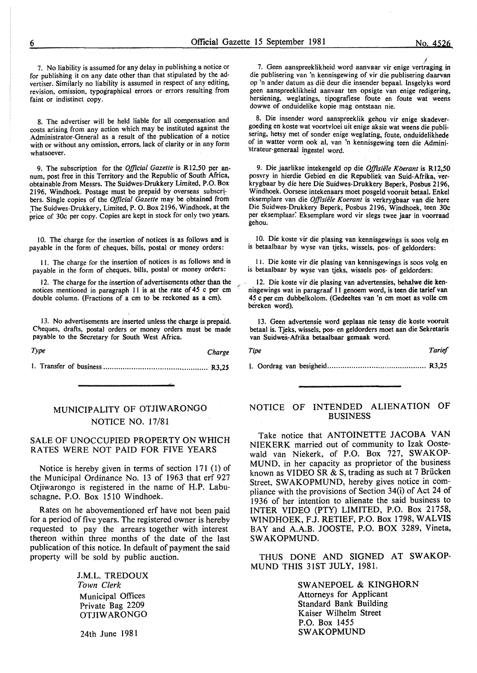7. No liability is assumed for any delay in publishing a notice or for publishing it on any date other than that stipulated by the advertiser. Similarly no liability is assumed in respect of any editing, revision, omission, typographical errors or errors resulting from faint or indistinct copy.

8. The advertiser will be held liable for all compensation and costs arising from any action which may be instituted against the Administrator-General as a result of the publication of a notice with or without any omission, errors, lack of clarity or in any form whatsoever.

9. The subscription for the *Official Gazette* is Rl2,50 per annum, post free in this Territory and the Republic of South Africa, obtainable from Messrs. The Suidwes-Drukkery Limited, P.O. Box 2196, Windhoek. Postage must be prepaid by overseas subscrtbers. Single copies of the *Official Gazette* may be obtained from \_The Suidwes-Drukkery, Limited, P. 0. Box 2196, Windhoek, at the price of 30c per copy. Copies are kept in stock for only two years.

10. The charge for the insertion of notices is as follows and is payable in the form of cheques, bills, postal or money orders:

II. The charge for the insertion of notices is as follows and is payable in the form of cheques, bills, postal or money orders:

12. The charge for the insertion of advertisements other than the notices mentioned in paragraph  $11$  is at the rate of 45 c per cm double column. (Fractions of a em to be reckoned as a em).

13. No advertisements are inserted unless the charge is prepaid. Cheques, drafts, postal orders or money orders must be made payable to the Secretary for South West Africa.

| Type |  |  | Charge |  |
|------|--|--|--------|--|
|      |  |  |        |  |

#### MUNICIPALITY OF OTJIW ARONGO NOTICE NO. 17/81

#### SALE OF UNOCCUPIED PROPERTY ON WHICH RATES WERE NOT PAID FOR FIVE YEARS

Notice is hereby given in terms of section 171 (1) of the Municipal Ordinance No. 13 of 1963 that erf 927 Otjiwarongo is registered in the name of H.P. Labuschagne. P.O. Box 1510 Windhoek.

Rates on he abovementioned erf have not been paid for a period of five years. The registered owner is hereby requested to pay the arrears together with interest thereon within three months of the date of the last publication of this notice. In default of payment the said property will be sold by public auction.

> J.M.L. TREDOUX *Town Clerk*  Municipal Offices Private Bag 2209 OTJIW ARONGO

24th June 1981

I 7. Geen aanspreeklikheid word aanvaar vir enige vertraging in die publisering van 'n kennisgewing of vir die publisering daarvan op 'n ander datum as die deur die insender bepaal. lnsgelyks word geen aanspreeklikheid aanvaar ten opsigte van enige redigering, hersiening, weglatings, tipografiese foute en foute wat weens dowwe of onduidelike kopie mag ontstaan nie.

8. Die insender word aanspreeklik gehou vir enige skadevergoeding en koste wat voortvloei uit enige aksie wat weens die publisering, betsy met of sonder enige weglating, foute, onduidelikhede of in watter vorm ook al, van 'n kennisgewing teen die Admini- 'strateur-generaal ingestel word.

9. Die jaarlikse intekengeld op die *Offisiële Koerant* is R12,50 posvry in hierdie Gebied en die Republiek van Suid-Afrika, verkrygbaar by die here Die Suidwes-Drukkery Beperk, Posbus 2196, Windhoek. Oorsese intekenaars moet posgeld vooruit betaal. Enkel eksemplare van die *Offisiële Koerant* is verkrygbaar van die here Die Suidwes-Drukkery Beperk, Posbus 2196, Windhoek, teen 30c per eksemplaar. Eksemplare word vir slegs twee jaar in voorraad gehou.

10. Die koste vir die plasing van kennisgewings is soos volg en is betaalbaar by wyse van tjeks, wissels, pos- of geldorders:

1 L Die koste vir die plasing van kennisgewings is soos volg en is betaalbaar by wyse van tjeks, wissels pos- of geldorders:

12. Die koste vir die plasing van advertensies, behalwe die kennisgewings wat in paragraaf 11 genoem word, is teen die tarief van 45 c per em dubbelkolom. (Gedeeltes van 'n em moet as voile em bereken word).

13. Geen advertensie word geplaas nie tensy die koste vooruit betaal is. Tjeks, wissels, pos- en geldorders moet aan die Sekretaris van Suidwes~Afrika betaalbaar gemaak word.

*Tipe Tarief* 

1. Oordrag van besigheid ............................................. R3,25

#### NOTICE OF INTENDED ALIENATION OF BUSINESS

Take notice that ANTOINETTE JACOBA VAN NIEKERK married out of community to Izak Oostewald van Niekerk, of P.O. Box 727, SWAKOP-MUND, in her capacity as proprietor of the business known as VIDEO SR & S, trading as such at 7 Briicken Street, SWAKOPMUND, hereby gives notice in compliance with the provisions of Section 34(i) of Act 24 of 1936 of her intention to alienate the said business to INTER VIDEO (PTY) LIMITED, P.O. Box 21758, WINDHOEK, F.J. RETIEF, P.O. Box 1798, WALVIS BAY and A.A.B. JOOSTE, P.O. BOX 3289, Vineta, SWAKOPMUND.

THUS DONE AND SIGNED AT SWAKOP-MUND THIS 31ST JULY, 1981.

> SWANEPOEL & KINGHORN Attorneys for Applicant Standard Bank Building Kaiser Wilhelm Street P.O. Box 1455 SWAKOPMUND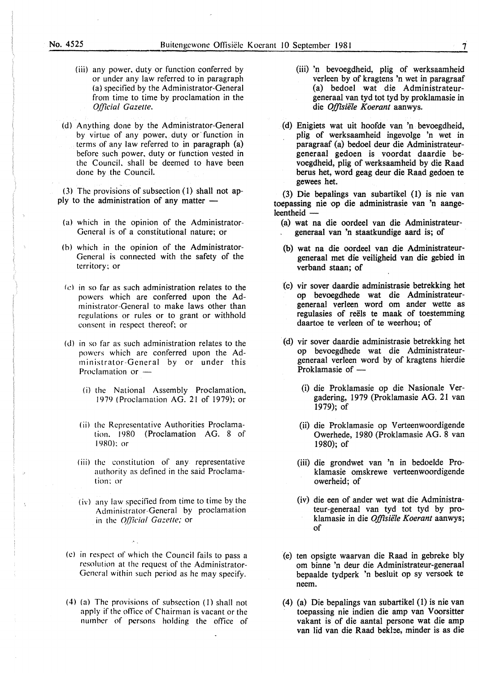- (iii) any power. duty or function conferred by or under any law referred to in paragraph (a) specified by the Administrator-General from time to time by proclamation in the *Official Gazette.*
- (d) Anything done by the Administrator-General by virtue of any power, duty or function in terms of any law referred to in paragraph (a) before such power. duty or function vested in the Council. shall be deemed to have been done by the Council.

(3) The provisions of subsection (I) shall not apply to the administration of any matter  $-$ 

- (a) which in the opinion of the Administrator-General is of a constitutional nature; or
- (h) which in the opinion of the Administrator-General is connected with the safety of the territory: or
- $(c)$  in so far as such administration relates to the powers which are conferred upon the Administrator-General to make laws other than regulations or rules or to grant or withhold consent in respect thereof; or
- (d) in so far as such administration relates to the powers which arc conferred upon the Administrator-General by or under this Proclamation or -
	- (i) the National Assembly Proclamation, 1979 (Proclamation AG. 21 of 1979); or
	- ( ii) the Representative Authorities Proclamation. 1980 (Proclamation AG. 8 of 1980): or
	- (iii) the constitution of any representative authority as defined in the said Proclamation: or
	- ( iv) any law specified from time to time by the Administrator-General by proclamation in the *Official Gazette;* or
- (c) in respect of which the Council fails to pass a resolution at the request of the Administrator-General within such period as he may specify.
- (4) (a) The provisions of subsection (I) shall not apply if the office of Chairman is vacant or the number of persons holding the office of
- (iii) 'n bevoegdheid, plig of werksaamheid verleen by of kragtens 'n wet in paragraaf (a) bedoel wat die Administrateurgeneraal van tyd tot tyd by proklamasie in die *Offisie1e Koerant* aanwys.
- (d) Enigiets wat uit hoofde van 'n bevoegdheid, plig of werksaamheid ingevolge 'n wet in paragraaf (a) bedoel deur die Administrateurgeneraal gedoen is voordat daardie bevoegdheid, plig of werksaamheid by die Raad berus het, word geag deur die Raad gedoen te gewees het.

(3) Die bepalings van subartikel (1) is nie van toepassing nie op die administrasie van 'n aangeleentheid -

- (a) wat na die oordeel van die Administrateurgeneraal van 'n staatkundige aard is; of
- (b) wat na die oordeel van die Administrateurgeneraal met die veiligheid van die gebied in verband staan; of
- (c) vir sover daardie administrasie betrekking het op bevoegdhede wat die Administrateurgeneraal verleen word om ander wette as regulasies of reels te maak of toestemming daartoe te verleen of te weerhou; of
- (d) vir sover daardie administrasie betrekking het op bevoegdhede wat die Administrateurgeneraal verleen word by of kragtens hierdie Proklamasie of  $-$ 
	- (i) die Proklamasie op die Nasionale Vergadering, 1979 (Proklamasie AG. 21 van 1979); of
	- (ii) die Proklamasie op Verteenwoordigende Owerhede, 1980 (Proklamasie AG. 8 van 1980); of
	- (iii) die grondwet van 'n in bedoelde Proklamasie omskrewe verteenwoordigende owerheid; of
	- (iv) die een of ander wet wat die Administrateur-generaal van tyd tot tyd by proklamasie in die *Offisie1e Koerant* aanwys; of
- (e) ten opsigte waarvan die Raad in gebreke bly om binne 'n deur die Administrateur-generaal bepaalde tydperk 'n besluit op sy versoek te neem.
- (4) (a) Die bepalings van subartikel (1) is nie van toepassing nie indien die amp van Voorsitter vakant is of die aantal persone wat die amp van lid van die Raad beklee, minder is as die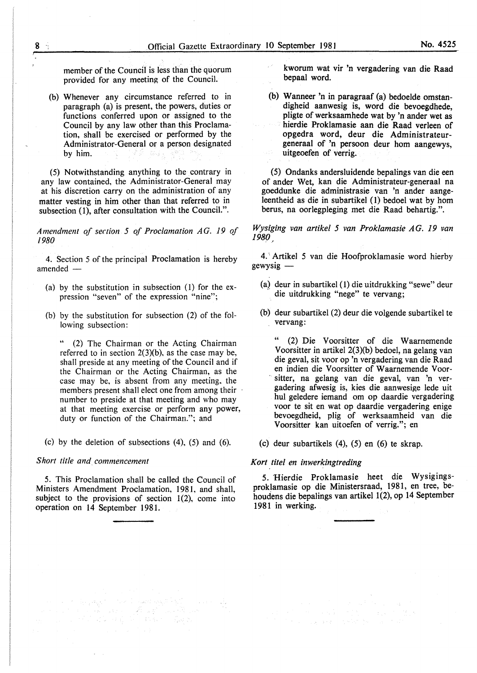member of the Council is less than the quorum provided for any meeting of the Council.

(b) Whenever any circumstance referred to in paragraph (a) is present, the powers, duties or functions conferred upon or assigned to the Council by any law other than this Proclamation, shall be exercised or performed by the Administrator-General or a person designated by him.

(5) Notwithstanding anything to the contrary in any law contained, the Administrator-General may at his discretion carry on the administration of any matter vesting in him other than that referred to in subsection (1), after consultation with the Council.".

*Amendment of senion 5 of Proclamation* AG. *19 of /980* 

4. Section 5 of the principal Proclamation is hereby amended $-$ 

- (a) by the substitution in subsection (1) for the expression "seven" of the expression "nine";
- (b) by the substitution for subsection (2) of the following subsection:

(2) The Chairman or the Acting Chairman referred to in section  $2(3)(b)$ , as the case may be, shall preside at any meeting of the Council and if the Chairman or the Acting Chairman, as the case may be, is absent from any meeting, the members present shall elect one from among their number to preside at that meeting and who may at that meeting exercise or perform any power, duty or function of the Chairman."; and

(c) by the deletion of subsections (4), (5) and (6).

#### *Short title and commencement*

5. This Proclamation shall be called the Council of Ministers Amendment Proclamation, 1981, and shall, subject to the provisions of section  $1(2)$ , come into operation on 14 September 1981.

kworum wat vir 'n vergadering van die Raad bepaal word.

(b) Wanneer 'n in paragraaf (a) bedoelde omstandigheid aanwesig is, word die bevoegdhede, pligte of werksaamhede wat by 'n ander wet as hierdie Proklamasie aan die Raad verleen of opgedra word, deur die Administrateurgeneraal of 'n persoon deur hom aangewys, uitgeoefen of verrig.

(5) Ondanks andersluidende bepalings van die een of ander Wet, kan die Administrateur-generaal na goeddunke die administrasie van 'n ander aangeleentheid as die in subartikel (1) bedoel wat by hom berus, na oorlegpleging met die Raad behartig.".

*Wysiging van artikel 5 van Proklamasie AG. 19 van 1980* 

4. · Artikel 5 van die Hoofproklamasie word hierby gewysig-

- (a) deur in subartikel (1) die uitdrukking "sewe" deur die uitdrukking "nege" te vervang:
- (b) deur subartikel (2) deur die volgende subartikel te vervang:

" (2) Die V oorsitter of die Waarnemende Voorsitter in artikel 2(3)(b) bedoel, na gelang van die geval, sit voor op 'n vergadering van die Raad en indien die Voorsitter of W aarnemende Voor- . sitter, na gelang van die geval, van 'n vergadering afwesig is, kies die aanwesige lede uit hul geledere iemand om op daardie vergadering voor te sit en wat op daardie vergadering enige bevoegdheid, plig of werksaamheid van die Voorsitter kan uitoefen of verrig."; en

(c) deur subartikels (4), (5) en (6) te skrap.

#### *Kort. tile/ en inwerkingtreding*

5. Hierdie Proklamasie beet die Wysigingsproklamasie op die Ministersraad, 1981, en tree, behoudens die bepalings van artikel 1(2), op 14 September 1981 in werking.

> $\label{eq:2.1} \begin{split} \mathcal{L}_{\text{max}}(\mathbf{X},\mathbf{X})&=\mathcal{L}_{\text{max}}(\mathbf{X},\mathbf{X})\mathbf{X}+\mathcal{L}_{\text{max}}(\mathbf{X},\mathbf{X})\\ &\mathcal{L}_{\text{max}}(\mathbf{X},\mathbf{X})\mathbf{X}+\mathcal{L}_{\text{max}}(\mathbf{X},\mathbf{X})\mathbf{X}+\mathcal{L}_{\text{max}}(\mathbf{X},\mathbf{X})\mathbf{X}+\mathcal{L}_{\text{max}}(\mathbf{X},\mathbf{X})\mathbf{X}+\mathcal{L}_{\text{max}}(\$ 的复数人名英格兰人姓氏斯特的变体 医水杨酸